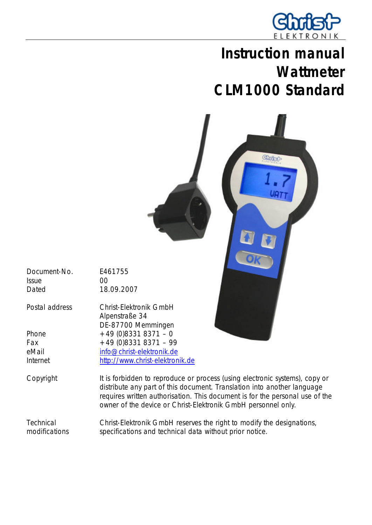

# **Instruction manual Wattmeter CLM1000 Standard**



Document-No. E461755 Issue 00 Dated 18.09.2007

Postal address Christ-Elektronik GmbH Alpenstraße 34 DE-87700 Memmingen Phone  $+49 (0)8331 8371 - 0$ Fax  $+49(0)83318371 - 99$ eMail info@christ-elektronik.de Internet http://www.christ-elektronik.de

Copyright It is forbidden to reproduce or process (using electronic systems), copy or distribute any part of this document. Translation into another language requires written authorisation. This document is for the personal use of the owner of the device or Christ-Elektronik GmbH personnel only.

**Technical** modifications Christ-Elektronik GmbH reserves the right to modify the designations, specifications and technical data without prior notice.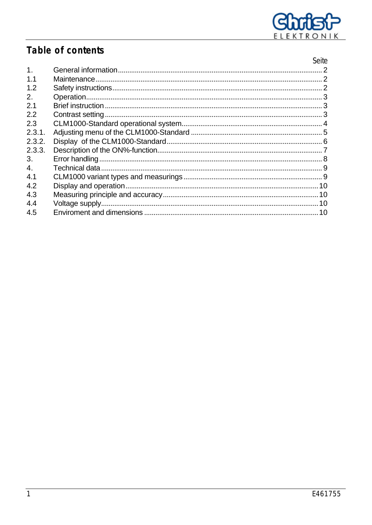

# Table of contents

|                | Seite |
|----------------|-------|
| 1 <sub>1</sub> |       |
| 1.1            |       |
| 1.2            |       |
| 2.             |       |
| 2.1            |       |
| 2.2            |       |
| 2.3            |       |
| 2.3.1.         |       |
| 2.3.2.         |       |
| 2.3.3.         |       |
| 3.             |       |
| 4.             |       |
| 4.1            |       |
| 4.2            |       |
| 4.3            |       |
| 4.4            |       |
| 4.5            |       |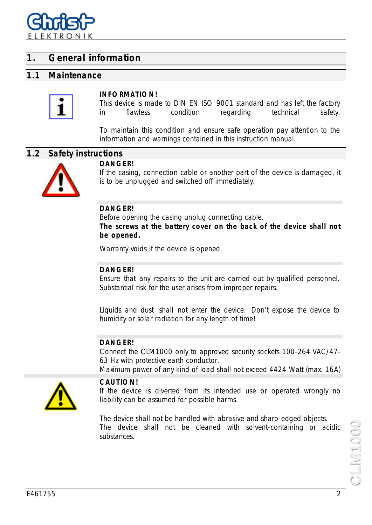

### **1. General information**

#### **1.1 Maintenance**



#### **INFORMATION!**

This device is made to DIN EN ISO 9001 standard and has left the factory in flawless condition regarding technical safety.

To maintain this condition and ensure safe operation pay attention to the information and warnings contained in this instruction manual.

#### **1.2 Safety instructions**



#### **DANGER!**

If the casing, connection cable or another part of the device is damaged, it is to be unplugged and switched off immediately.

#### **DANGER!**

Before opening the casing unplug connecting cable.

**The screws at the battery cover on the back of the device shall not be opened.**

Warranty voids if the device is opened.

#### **DANGER!**

Ensure that any repairs to the unit are carried out by qualified personnel. Substantial risk for the user arises from improper repairs.

Liquids and dust shall not enter the device. Don't expose the device to humidity or solar radiation for any length of time!

#### **DANGER!**

Connect the CLM1000 only to approved security sockets 100-264 VAC/47- 63 Hz with protective earth conductor.

Maximum power of any kind of load shall not exceed 4424 Watt (max. 16A)



#### **CAUTION!**

If the device is diverted from its intended use or operated wrongly no liability can be assumed for possible harms.

The device shall not be handled with abrasive and sharp-edged objects. The device shall not be cleaned with solvent-containing or acidic substances.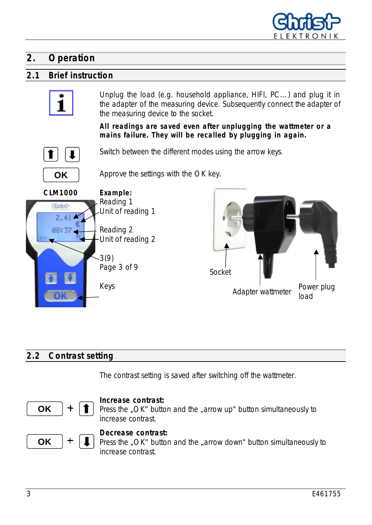

## **2. Operation**

### **2.1 Brief instruction**



Unplug the load (e.g. household appliance, HIFI, PC…) and plug it in the adapter of the measuring device. Subsequently connect the adapter of the measuring device to the socket.

**All readings are saved even after unplugging the wattmeter or a mains failure. They will be recalled by plugging in again.**



Switch between the different modes using the arrow keys.



Approve the settings with the OK key.





### **2.2 Contrast setting**

The contrast setting is saved after switching off the wattmeter.



#### **Increase contrast:**

Press the "OK" button and the "arrow up" button simultaneously to increase contrast.



Press the "OK" button and the "arrow down" button simultaneously to increase contrast.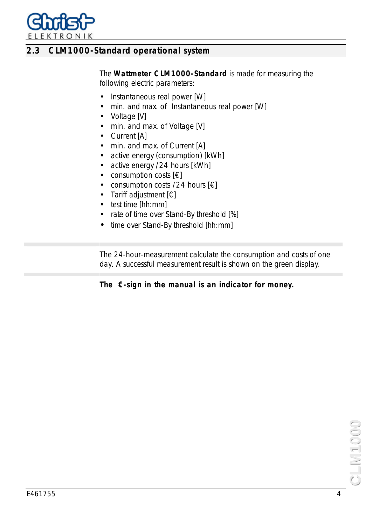

### **2.3 CLM1000-Standard operational system**

The **Wattmeter CLM1000-Standard** is made for measuring the following electric parameters:

- Instantaneous real power [W]
- min. and max. of Instantaneous real power [W]
- Voltage [V]
- min. and max. of Voltage [V]
- Current [A]
- min. and max. of Current [A]
- active energy (consumption) [kWh]
- active energy /24 hours [kWh]
- consumption costs  $[€]$
- consumption costs /24 hours  $[\in]$
- Tariff adjustment [€]
- test time [hh:mm]
- rate of time over Stand-By threshold [%]
- time over Stand-By threshold [hh:mm]

The 24-hour-measurement calculate the consumption and costs of one day. A successful measurement result is shown on the green display.

### **The €-sign in the manual is an indicator for money.**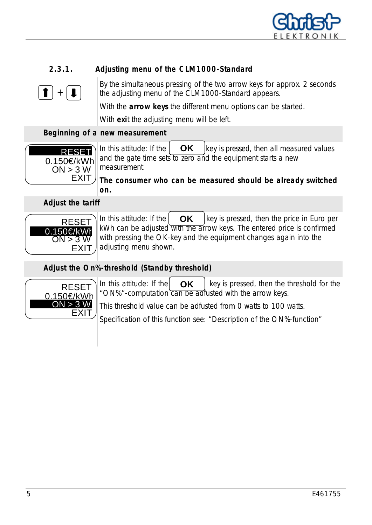

### **2.3.1. Adjusting menu of the CLM1000-Standard**



By the simultaneous pressing of the two arrow keys for approx. 2 seconds the adjusting menu of the CLM1000-Standard appears.

With the **arrow keys** the different menu options can be started.

With **exi**t the adjusting menu will be left.

### **Beginning of a new measurement**



In this attitude: If the  $\begin{vmatrix} \mathbf{OK} \mathbf{K} \end{vmatrix}$  key is pressed, then all measured values and the gate time sets to zero and the equipment starts a new measurement. **OK**

**The consumer who can be measured should be already switched on.**

 **Adjust the tariff**



In this attitude: If the  $\overline{OR}$  key is pressed, then the price in Euro per kWh can be adjusted with the arrow keys. The entered price is confirmed with pressing the OK-key and the equipment changes again into the adjusting menu shown. **OK**

 **Adjust the On%-threshold (Standby threshold)**



In this attitude: If the  $\overline{OK}$  key is pressed, then the threshold for the "ON%"-computation can be adfusted with the arrow keys. **OK**

This threshold value can be adfusted from 0 watts to 100 watts.

Specification of this function see: "Description of the ON%-function"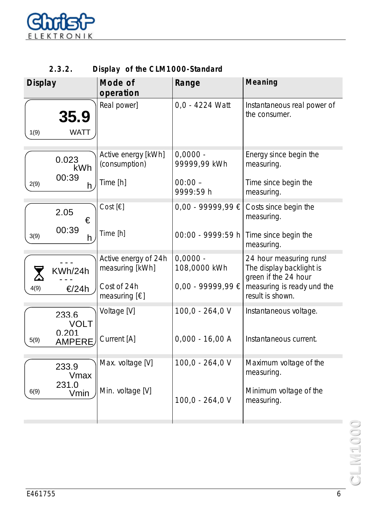

| 2.3.2. |  |  | Display of the CLM1000-Standard |
|--------|--|--|---------------------------------|
|--------|--|--|---------------------------------|

| <b>Display</b>                 | Mode of<br>operation                    | Range                      | <b>Meaning</b>                                                              |
|--------------------------------|-----------------------------------------|----------------------------|-----------------------------------------------------------------------------|
| 35.9<br><b>WATT</b><br>1(9)    | Real power]                             | 0,0 - 4224 Watt            | Instantaneous real power of<br>the consumer.                                |
| 0.023<br>kWh                   | Active energy [kWh]<br>(consumption)    | $0,0000 -$<br>99999,99 kWh | Energy since begin the<br>measuring.                                        |
| 00:39<br>2(9)<br>h             | Time [h]                                | $00:00 -$<br>9999:59 h     | Time since begin the<br>measuring.                                          |
| 2.05<br>€                      | Cost $[\in]$                            | $0,00 - 99999,99 \in$      | Costs since begin the<br>measuring.                                         |
| 00:39<br>3(9)<br>h             | Time [h]                                | 00:00 - 9999:59 h          | Time since begin the<br>measuring.                                          |
| KWh/24h                        | Active energy of 24h<br>measuring [kWh] | $0,0000 -$<br>108,0000 kWh | 24 hour measuring runs!<br>The display backlight is<br>green if the 24 hour |
| <b>€/24h</b><br>4(9)           | Cost of 24h<br>measuring $[\in]$        | $0,00 - 99999,99 \in$      | measuring is ready und the<br>result is shown.                              |
| 233.6<br><b>VOLT</b>           | Voltage [V]                             | $100,0 - 264,0$ V          | Instantaneous voltage.                                                      |
| 0.201<br>5(9)<br><b>AMPERE</b> | Current [A]                             | $0,000 - 16,00 A$          | Instantaneous current.                                                      |
| 233.9<br>Vmax                  | Max. voltage [V]                        | $100,0 - 264,0$ V          | Maximum voltage of the<br>measuring.                                        |
| 231.0<br>6(9)<br>Vmin          | Min. voltage [V]                        | $100,0 - 264,0$ V          | Minimum voltage of the<br>measuring.                                        |
|                                |                                         |                            |                                                                             |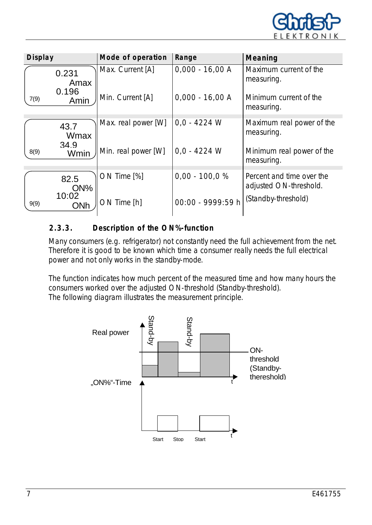

| <b>Display</b> |               | Mode of operation   | Range             | <b>Meaning</b>                                      |
|----------------|---------------|---------------------|-------------------|-----------------------------------------------------|
|                | 0.231<br>Amax | Max. Current [A]    | $0,000 - 16,00 A$ | Maximum current of the<br>measuring.                |
| 7(9)           | 0.196<br>Amin | Min. Current [A]    | $0,000 - 16,00 A$ | Minimum current of the<br>measuring.                |
|                | 43.7<br>Wmax  | Max. real power [W] | $0.0 - 4224$ W    | Maximum real power of the<br>measuring.             |
| 8(9)           | 34.9<br>Wmin  | Min. real power [W] | $0,0 - 4224$ W    | Minimum real power of the<br>measuring.             |
|                | 82.5<br>ON%   | ON Time [%]         | $0,00 - 100,0 %$  | Percent and time over the<br>adjusted ON-threshold. |
| 9(9)           | 10:02<br>ONh  | ON Time [h]         | 00:00 - 9999:59 h | (Standby-threshold)                                 |

### **2.3.3. Description of the ON%-function**

Many consumers (e.g. refrigerator) not constantly need the full achievement from the net. Therefore it is good to be known which time a consumer really needs the full electrical power and not only works in the standby-mode.

The function indicates how much percent of the measured time and how many hours the consumers worked over the adjusted ON-threshold (Standby-threshold). The following diagram illustrates the measurement principle.

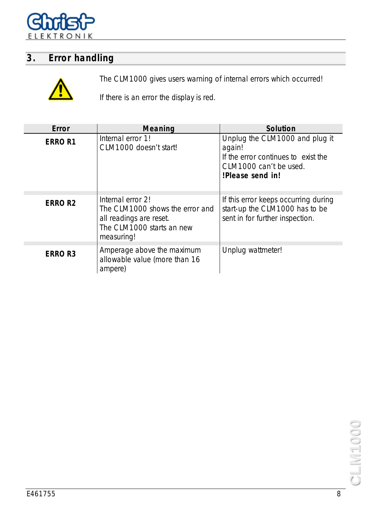

# **3. Error handling**



The CLM1000 gives users warning of internal errors which occurred!

If there is an error the display is red.

| Error         | <b>Meaning</b>                                                                                                             | <b>Solution</b>                                                                                                               |
|---------------|----------------------------------------------------------------------------------------------------------------------------|-------------------------------------------------------------------------------------------------------------------------------|
| <b>ERROR1</b> | Internal error 1!<br>CLM1000 doesn't start!                                                                                | Unplug the CLM1000 and plug it<br>again!<br>If the error continues to exist the<br>CLM1000 can't be used.<br>!Please send in! |
| <b>ERROR2</b> | Internal error 2!<br>The CLM1000 shows the error and<br>all readings are reset.<br>The CLM1000 starts an new<br>measuring! | If this error keeps occurring during<br>start-up the CLM1000 has to be<br>sent in for further inspection.                     |
| <b>ERROR3</b> | Amperage above the maximum<br>allowable value (more than 16<br>ampere)                                                     | Unplug wattmeter!                                                                                                             |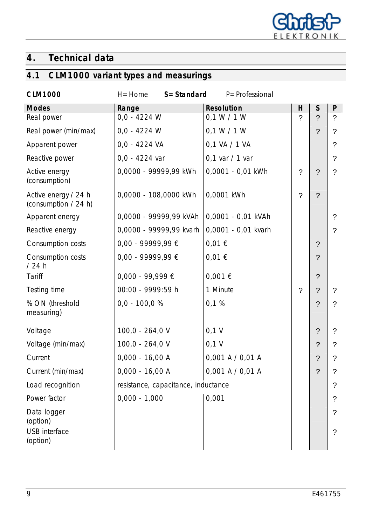

# **4. Technical data**

# **4.1 CLM1000 variant types and measurings**

| <b>CLM1000</b>                               | $S = Standard$<br>$H =$ Home        | P=Professional       |             |                |                |
|----------------------------------------------|-------------------------------------|----------------------|-------------|----------------|----------------|
| <b>Modes</b>                                 | Range                               | <b>Resolution</b>    | н           | $\mathsf{S}$   | P              |
| Real power                                   | $0,0 - 4224$ W                      | 0,1 W / 1 W          | $\gamma$    | $\gamma$       | $\overline{?}$ |
| Real power (min/max)                         | $0,0 - 4224$ W                      | 0,1 W / 1 W          |             | ?              | ?              |
| Apparent power                               | $0,0 - 4224$ VA                     | 0,1 VA / 1 VA        |             |                | $\overline{?}$ |
| Reactive power                               | $0,0 - 4224$ var                    | $0,1$ var / 1 var    |             |                | ?              |
| Active energy<br>(consumption)               | 0,0000 - 99999,99 kWh               | 0,0001 - 0,01 kWh    | $\tilde{?}$ | $\gamma$       | ?              |
| Active energy / 24 h<br>(consumption / 24 h) | 0,0000 - 108,0000 kWh               | 0,0001 kWh           | $\gamma$    | $\gamma$       |                |
| Apparent energy                              | 0,0000 - 99999,99 kVAh              | 0,0001 - 0,01 kVAh   |             |                | $\gamma$       |
| Reactive energy                              | 0,0000 - 99999,99 kvarh             | 0,0001 - 0,01 kvarh  |             |                | $\gamma$       |
| Consumption costs                            | $0,00 - 99999,99 \in$               | 0,01€                |             | $\gamma$       |                |
| Consumption costs<br>/24h                    | $0,00 - 99999,99 \in$               | 0,01€                |             | $\overline{?}$ |                |
| Tariff                                       | $0,000 - 99,999 \in$                | 0,001 €              |             | ?              |                |
| Testing time                                 | 00:00 - 9999:59 h                   | 1 Minute             | $\gamma$    | $\gamma$       | $\gamma$       |
| % ON (threshold<br>measuring)                | $0,0 - 100,0 %$                     | 0,1%                 |             | $\gamma$       | $\gamma$       |
| Voltage                                      | 100,0 - 264,0 V                     | $0,1$ V              |             | $\overline{?}$ | ?              |
| Voltage (min/max)                            | 100,0 - 264,0 V                     | $0,1$ V              |             | ?              | ?              |
| Current                                      | $0,000 - 16,00 A$                   | $0,001$ A $/ 0,01$ A |             | ?              | ?              |
| Current (min/max)                            | $0,000 - 16,00 A$                   | 0,001 A / 0,01 A     |             | ?              |                |
| Load recognition                             | resistance, capacitance, inductance |                      |             |                |                |
| Power factor                                 | $0,000 - 1,000$                     | 0,001                |             |                | ?              |
| Data logger<br>(option)                      |                                     |                      |             |                | ?              |
| <b>USB</b> interface<br>(option)             |                                     |                      |             |                | ?              |